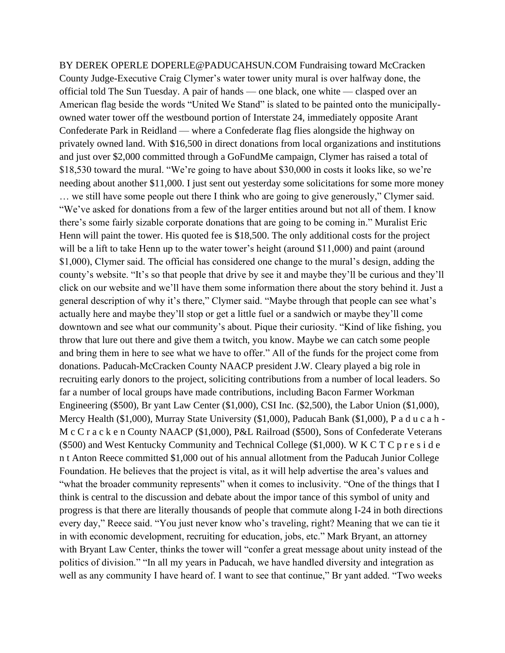BY DEREK OPERLE DOPERLE@PADUCAHSUN.COM Fundraising toward McCracken County Judge-Executive Craig Clymer's water tower unity mural is over halfway done, the official told The Sun Tuesday. A pair of hands — one black, one white — clasped over an American flag beside the words "United We Stand" is slated to be painted onto the municipallyowned water tower off the westbound portion of Interstate 24, immediately opposite Arant Confederate Park in Reidland — where a Confederate flag flies alongside the highway on privately owned land. With \$16,500 in direct donations from local organizations and institutions and just over \$2,000 committed through a GoFundMe campaign, Clymer has raised a total of \$18,530 toward the mural. "We're going to have about \$30,000 in costs it looks like, so we're needing about another \$11,000. I just sent out yesterday some solicitations for some more money … we still have some people out there I think who are going to give generously," Clymer said. "We've asked for donations from a few of the larger entities around but not all of them. I know there's some fairly sizable corporate donations that are going to be coming in." Muralist Eric Henn will paint the tower. His quoted fee is \$18,500. The only additional costs for the project will be a lift to take Henn up to the water tower's height (around \$11,000) and paint (around \$1,000), Clymer said. The official has considered one change to the mural's design, adding the county's website. "It's so that people that drive by see it and maybe they'll be curious and they'll click on our website and we'll have them some information there about the story behind it. Just a general description of why it's there," Clymer said. "Maybe through that people can see what's actually here and maybe they'll stop or get a little fuel or a sandwich or maybe they'll come downtown and see what our community's about. Pique their curiosity. "Kind of like fishing, you throw that lure out there and give them a twitch, you know. Maybe we can catch some people and bring them in here to see what we have to offer." All of the funds for the project come from donations. Paducah-McCracken County NAACP president J.W. Cleary played a big role in recruiting early donors to the project, soliciting contributions from a number of local leaders. So far a number of local groups have made contributions, including Bacon Farmer Workman Engineering (\$500), Br yant Law Center (\$1,000), CSI Inc. (\$2,500), the Labor Union (\$1,000), Mercy Health (\$1,000), Murray State University (\$1,000), Paducah Bank (\$1,000), P a d u c a h - M c C r a c k e n County NAACP (\$1,000), P&L Railroad (\$500), Sons of Confederate Veterans (\$500) and West Kentucky Community and Technical College (\$1,000). W K C T C p r e s i d e n t Anton Reece committed \$1,000 out of his annual allotment from the Paducah Junior College Foundation. He believes that the project is vital, as it will help advertise the area's values and "what the broader community represents" when it comes to inclusivity. "One of the things that I think is central to the discussion and debate about the impor tance of this symbol of unity and progress is that there are literally thousands of people that commute along I-24 in both directions every day," Reece said. "You just never know who's traveling, right? Meaning that we can tie it in with economic development, recruiting for education, jobs, etc." Mark Bryant, an attorney with Bryant Law Center, thinks the tower will "confer a great message about unity instead of the politics of division." "In all my years in Paducah, we have handled diversity and integration as well as any community I have heard of. I want to see that continue," Br yant added. "Two weeks